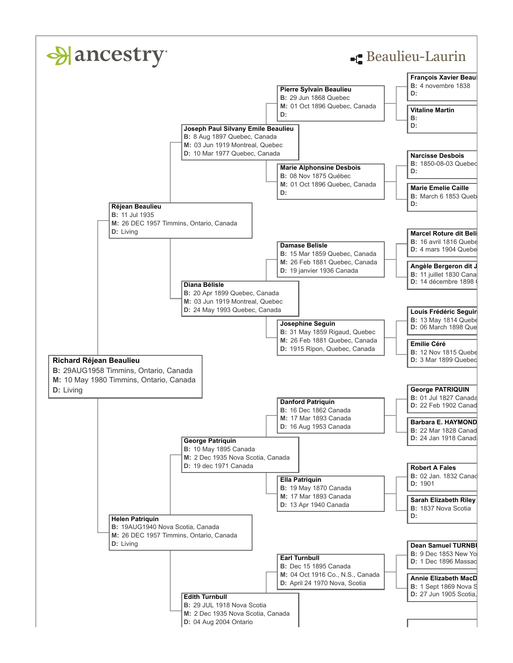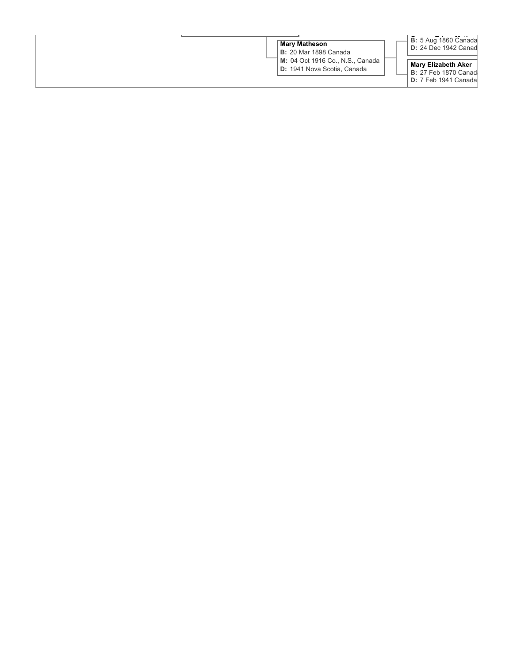| ∣ Mary Matheson<br><b>B:</b> 20 Mar 1898 Canada                        | <b>B</b> : 5 Aug 1860 Canada<br><b>D:</b> 24 Dec 1942 Canad                                 |  |
|------------------------------------------------------------------------|---------------------------------------------------------------------------------------------|--|
| <b>M:</b> 04 Oct 1916 Co., N.S., Canada<br>D: 1941 Nova Scotia, Canada | <b>Mary Elizabeth Aker</b><br><b>B:</b> 27 Feb 1870 Canad<br><b>I D:</b> 7 Feb 1941 Canadal |  |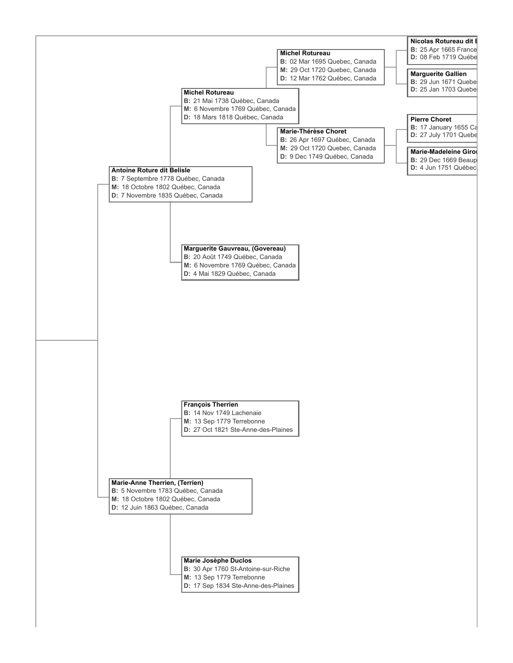